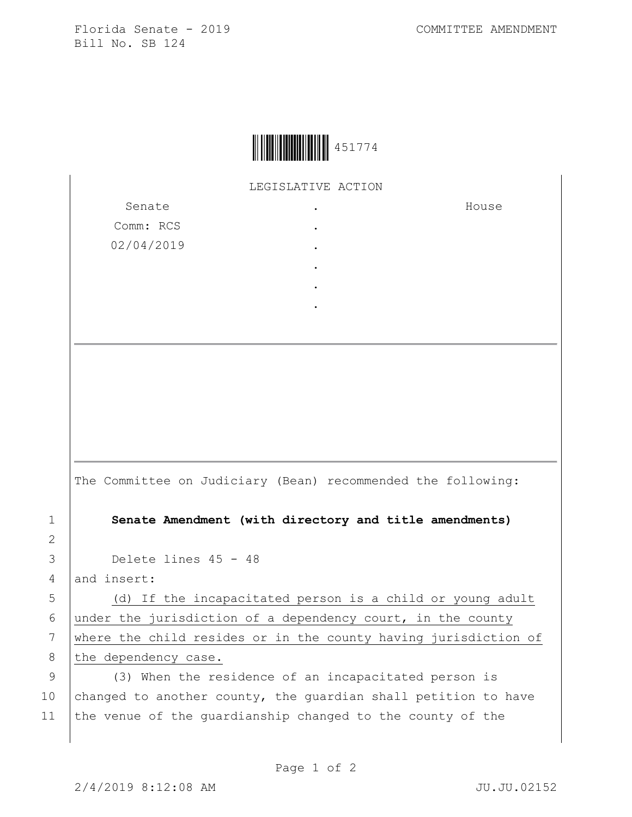Florida Senate - 2019 COMMITTEE AMENDMENT Bill No. SB 124



LEGISLATIVE ACTION

. . . . . .

Senate Comm: RCS 02/04/2019 House

The Committee on Judiciary (Bean) recommended the following:

1 **Senate Amendment (with directory and title amendments)**

3 Delete lines 45 - 48

4 and insert:

2

5 (d) If the incapacitated person is a child or young adult 6 under the jurisdiction of a dependency court, in the county 7 where the child resides or in the county having jurisdiction of 8 the dependency case.

9 (3) When the residence of an incapacitated person is 10 changed to another county, the guardian shall petition to have 11 the venue of the quardianship changed to the county of the